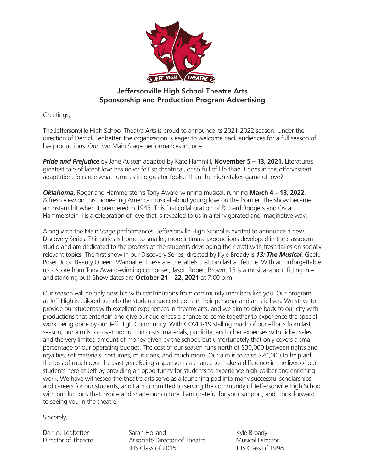

# Jeffersonville High School Theatre Arts Sponsorship and Production Program Advertising

Greetings,

The Jeffersonville High School Theatre Arts is proud to announce its 2021-2022 season. Under the direction of Derrick Ledbetter, the organization is eager to welcome back audiences for a full season of live productions. Our two Main Stage performances include:

*Pride and Prejudice* by Jane Austen adapted by Kate Hammill, **November 5 – 13, 2021**. Literature's greatest tale of latent love has never felt so theatrical, or so full of life than it does in this effervescent adaptation. Because what turns us into greater fools…than the high-stakes game of love?

*Oklahoma,* Roger and Hammerstein's Tony Award winning musical, running **March 4 – 13, 2022**. A fresh view on this pioneering America musical about young love on the frontier. The show became an instant hit when it premiered in 1943. This first collaboration of Richard Rodgers and Oscar Hammerstein II is a celebration of love that is revealed to us in a reinvigorated and imaginative way.

Along with the Main Stage performances, Jeffersonville High School is excited to announce a new Discovery Series. This series is home to smaller, more intimate productions developed in the classroom studio and are dedicated to the process of the students developing their craft with fresh takes on socially relevant topics. The first show in our Discovery Series, directed by Kyle Broady is *13: The Musical*. Geek. Poser. Jock. Beauty Queen. Wannabe. These are the labels that can last a lifetime. With an unforgettable rock score from Tony Award-winning composer, Jason Robert Brown, 13 is a musical about fitting in – and standing out! Show dates are **October 21 – 22, 2021** at 7:00 p.m.

Our season will be only possible with contributions from community members like you. Our program at Jeff High is tailored to help the students succeed both in their personal and artistic lives. We strive to provide our students with excellent experiences in theatre arts, and we aim to give back to our city with productions that entertain and give our audiences a chance to come together to experience the special work being done by our Jeff High Community. With COVID-19 stalling much of our efforts from last season, our aim is to cover production costs, materials, publicity, and other expenses with ticket sales and the very limited amount of money given by the school, but unfortunately that only covers a small percentage of our operating budget. The cost of our season runs north of \$30,000 between rights and royalties, set materials, costumes, musicians, and much more. Our aim is to raise \$20,000 to help aid the loss of much over the past year. Being a sponsor is a chance to make a difference in the lives of our students here at Jeff by providing an opportunity for students to experience high-caliber and enriching work. We have witnessed the theatre arts serve as a launching pad into many successful scholarships and careers for our students, and I am committed to serving the community of Jeffersonville High School with productions that inspire and shape our culture. I am grateful for your support, and I look forward to seeing you in the theatre.

Sincerely,

Derrick Ledbetter Sarah Holland Kyle Broady Director of Theatre Associate Director of Theatre Musical Director JHS Class of 2015 JHS Class of 1998